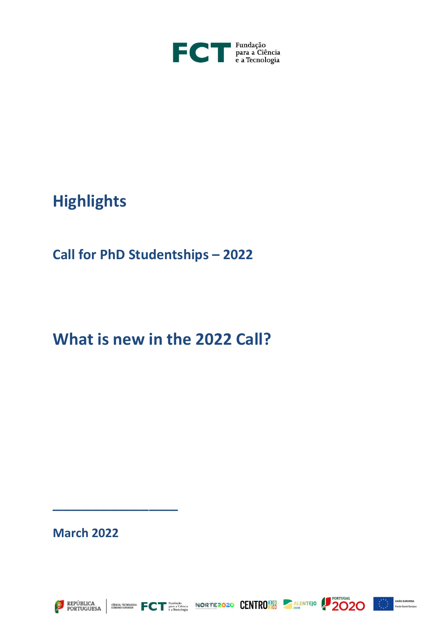

# **Highlights**

## **Call for PhD Studentships – 2022**

## **What is new in the 2022 Call?**

### **March 2022**

\_\_\_\_\_\_\_\_\_\_\_\_\_









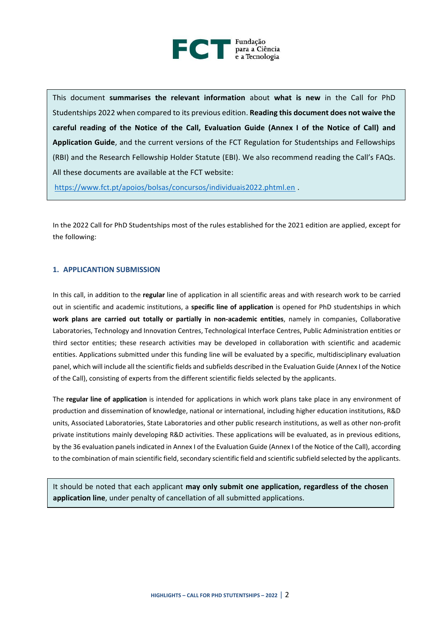

This document **summarises the relevant information** about **what is new** in the Call for PhD Studentships 2022 when compared to its previous edition. **Reading this document does not waive the careful reading of the Notice of the Call, Evaluation Guide (Annex I of the Notice of Call) and Application Guide**, and the current versions of the FCT Regulation for Studentships and Fellowships (RBI) and the Research Fellowship Holder Statute (EBI). We also recommend reading the Call's FAQs. All these documents are available at the FCT website:

<https://www.fct.pt/apoios/bolsas/concursos/individuais2022.phtml.en> .

In the 2022 Call for PhD Studentships most of the rules established for the 2021 edition are applied, except for the following:

#### **1. APPLICANTION SUBMISSION**

In this call, in addition to the **regular** line of application in all scientific areas and with research work to be carried out in scientific and academic institutions, a **specific line of application** is opened for PhD studentships in which **work plans are carried out totally or partially in non-academic entities**, namely in companies, Collaborative Laboratories, Technology and Innovation Centres, Technological Interface Centres, Public Administration entities or third sector entities; these research activities may be developed in collaboration with scientific and academic entities. Applications submitted under this funding line will be evaluated by a specific, multidisciplinary evaluation panel, which will include all the scientific fields and subfields described in the Evaluation Guide (Annex I of the Notice of the Call), consisting of experts from the different scientific fields selected by the applicants.

The **regular line of application** is intended for applications in which work plans take place in any environment of production and dissemination of knowledge, national or international, including higher education institutions, R&D units, Associated Laboratories, State Laboratories and other public research institutions, as well as other non-profit private institutions mainly developing R&D activities. These applications will be evaluated, as in previous editions, by the 36 evaluation panels indicated in Annex I of the Evaluation Guide (Annex I of the Notice of the Call), according to the combination of main scientific field, secondary scientific field and scientific subfield selected by the applicants.

It should be noted that each applicant **may only submit one application, regardless of the chosen application line**, under penalty of cancellation of all submitted applications.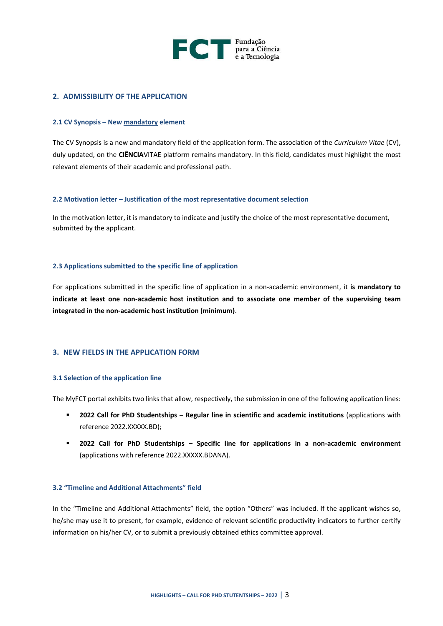

#### **2. ADMISSIBILITY OF THE APPLICATION**

#### **2.1 CV Synopsis – New mandatory element**

The CV Synopsis is a new and mandatory field of the application form. The association of the *Curriculum Vitae* (CV), duly updated, on the **CIÊNCIA**VITAE platform remains mandatory. In this field, candidates must highlight the most relevant elements of their academic and professional path.

#### **2.2 Motivation letter – Justification of the most representative document selection**

In the motivation letter, it is mandatory to indicate and justify the choice of the most representative document, submitted by the applicant.

#### **2.3 Applications submitted to the specific line of application**

For applications submitted in the specific line of application in a non-academic environment, it **is mandatory to indicate at least one non-academic host institution and to associate one member of the supervising team integrated in the non-academic host institution (minimum)**.

#### **3. NEW FIELDS IN THE APPLICATION FORM**

#### **3.1 Selection of the application line**

The MyFCT portal exhibits two links that allow, respectively, the submission in one of the following application lines:

- **2022 Call for PhD Studentships – Regular line in scientific and academic institutions** (applications with reference 2022.XXXXX.BD);
- **2022 Call for PhD Studentships – Specific line for applications in a non-academic environment** (applications with reference 2022.XXXXX.BDANA).

#### **3.2 "Timeline and Additional Attachments" field**

In the "Timeline and Additional Attachments" field, the option "Others" was included. If the applicant wishes so, he/she may use it to present, for example, evidence of relevant scientific productivity indicators to further certify information on his/her CV, or to submit a previously obtained ethics committee approval.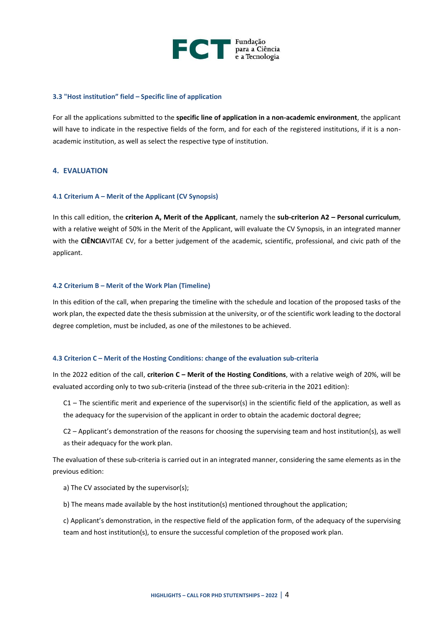

#### **3.3 "Host institution" field – Specific line of application**

For all the applications submitted to the **specific line of application in a non-academic environment**, the applicant will have to indicate in the respective fields of the form, and for each of the registered institutions, if it is a nonacademic institution, as well as select the respective type of institution.

#### **4. EVALUATION**

#### **4.1 Criterium A – Merit of the Applicant (CV Synopsis)**

In this call edition, the **criterion A, Merit of the Applicant**, namely the **sub-criterion A2 – Personal curriculum**, with a relative weight of 50% in the Merit of the Applicant, will evaluate the CV Synopsis, in an integrated manner with the CIÊNCIAVITAE CV, for a better judgement of the academic, scientific, professional, and civic path of the applicant.

#### **4.2 Criterium B – Merit of the Work Plan (Timeline)**

In this edition of the call, when preparing the timeline with the schedule and location of the proposed tasks of the work plan, the expected date the thesis submission at the university, or of the scientific work leading to the doctoral degree completion, must be included, as one of the milestones to be achieved.

#### **4.3 Criterion C – Merit of the Hosting Conditions: change of the evaluation sub-criteria**

In the 2022 edition of the call, *criterion C - Merit of the Hosting Conditions*, with a relative weigh of 20%, will be evaluated according only to two sub-criteria (instead of the three sub-criteria in the 2021 edition):

 $C1$  – The scientific merit and experience of the supervisor(s) in the scientific field of the application, as well as the adequacy for the supervision of the applicant in order to obtain the academic doctoral degree;

C2 – Applicant's demonstration of the reasons for choosing the supervising team and host institution(s), as well as their adequacy for the work plan.

The evaluation of these sub-criteria is carried out in an integrated manner, considering the same elements as in the previous edition:

a) The CV associated by the supervisor(s);

b) The means made available by the host institution(s) mentioned throughout the application;

c) Applicant's demonstration, in the respective field of the application form, of the adequacy of the supervising team and host institution(s), to ensure the successful completion of the proposed work plan.